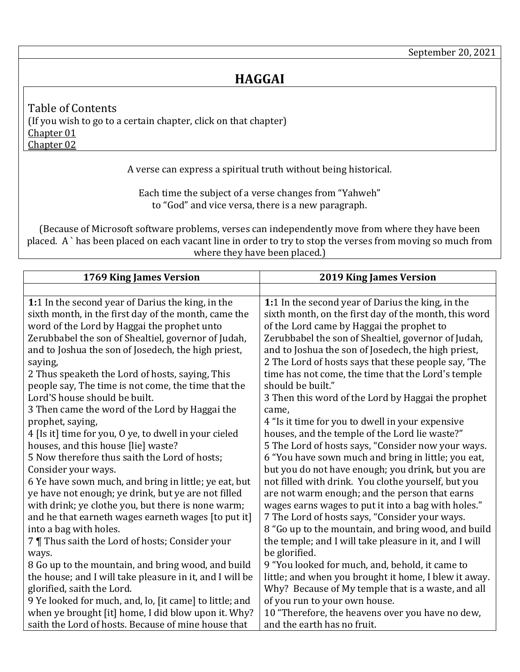<span id="page-0-2"></span><span id="page-0-1"></span>Table of Contents (If you wish to go to a certain chapter, click on that chapter) [Chapter 01](#page-0-0) [Chapter 02](#page-1-0)

A verse can express a spiritual truth without being historical.

Each time the subject of a verse changes from "Yahweh" to "God" and vice versa, there is a new paragraph.

(Because of Microsoft software problems, verses can independently move from where they have been placed. A ` has been placed on each vacant line in order to try to stop the verses from moving so much from where they have been placed.)

<span id="page-0-0"></span>

| 1769 King James Version                                  | <b>2019 King James Version</b>                         |
|----------------------------------------------------------|--------------------------------------------------------|
|                                                          |                                                        |
| 1:1 In the second year of Darius the king, in the        | 1:1 In the second year of Darius the king, in the      |
| sixth month, in the first day of the month, came the     | sixth month, on the first day of the month, this word  |
| word of the Lord by Haggai the prophet unto              | of the Lord came by Haggai the prophet to              |
| Zerubbabel the son of Shealtiel, governor of Judah,      | Zerubbabel the son of Shealtiel, governor of Judah,    |
| and to Joshua the son of Josedech, the high priest,      | and to Joshua the son of Josedech, the high priest,    |
| saying,                                                  | 2 The Lord of hosts says that these people say, 'The   |
| 2 Thus speaketh the Lord of hosts, saying, This          | time has not come, the time that the Lord's temple     |
| people say, The time is not come, the time that the      | should be built."                                      |
| Lord'S house should be built.                            | 3 Then this word of the Lord by Haggai the prophet     |
| 3 Then came the word of the Lord by Haggai the           | came,                                                  |
| prophet, saying,                                         | 4 "Is it time for you to dwell in your expensive       |
| 4 [Is it] time for you, O ye, to dwell in your cieled    | houses, and the temple of the Lord lie waste?"         |
| houses, and this house [lie] waste?                      | 5 The Lord of hosts says, "Consider now your ways.     |
| 5 Now therefore thus saith the Lord of hosts;            | 6 "You have sown much and bring in little; you eat,    |
| Consider your ways.                                      | but you do not have enough; you drink, but you are     |
| 6 Ye have sown much, and bring in little; ye eat, but    | not filled with drink. You clothe yourself, but you    |
| ye have not enough; ye drink, but ye are not filled      | are not warm enough; and the person that earns         |
| with drink; ye clothe you, but there is none warm;       | wages earns wages to put it into a bag with holes."    |
| and he that earneth wages earneth wages [to put it]      | 7 The Lord of hosts says, "Consider your ways.         |
| into a bag with holes.                                   | 8 "Go up to the mountain, and bring wood, and build    |
| 7   Thus saith the Lord of hosts; Consider your          | the temple; and I will take pleasure in it, and I will |
| ways.                                                    | be glorified.                                          |
| 8 Go up to the mountain, and bring wood, and build       | 9 "You looked for much, and, behold, it came to        |
| the house; and I will take pleasure in it, and I will be | little; and when you brought it home, I blew it away.  |
| glorified, saith the Lord.                               | Why? Because of My temple that is a waste, and all     |
| 9 Ye looked for much, and, lo, [it came] to little; and  | of you run to your own house.                          |
| when ye brought [it] home, I did blow upon it. Why?      | 10 "Therefore, the heavens over you have no dew,       |
| saith the Lord of hosts. Because of mine house that      | and the earth has no fruit.                            |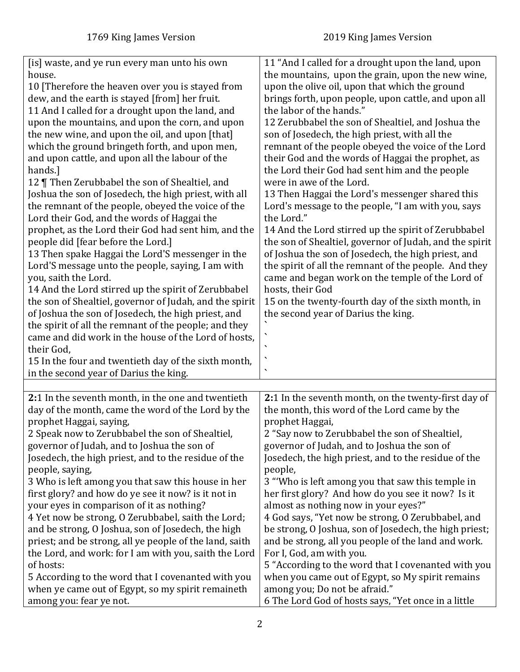<span id="page-1-0"></span>

| [is] waste, and ye run every man unto his own                                | 11 "And I called for a drought upon the land, upon                                   |
|------------------------------------------------------------------------------|--------------------------------------------------------------------------------------|
| house.                                                                       | the mountains, upon the grain, upon the new wine,                                    |
| 10 [Therefore the heaven over you is stayed from                             | upon the olive oil, upon that which the ground                                       |
| dew, and the earth is stayed [from] her fruit.                               | brings forth, upon people, upon cattle, and upon all                                 |
| 11 And I called for a drought upon the land, and                             | the labor of the hands."                                                             |
| upon the mountains, and upon the corn, and upon                              | 12 Zerubbabel the son of Shealtiel, and Joshua the                                   |
| the new wine, and upon the oil, and upon [that]                              | son of Josedech, the high priest, with all the                                       |
| which the ground bringeth forth, and upon men,                               | remnant of the people obeyed the voice of the Lord                                   |
| and upon cattle, and upon all the labour of the                              | their God and the words of Haggai the prophet, as                                    |
| hands.]                                                                      | the Lord their God had sent him and the people                                       |
| 12   Then Zerubbabel the son of Shealtiel, and                               | were in awe of the Lord.                                                             |
| Joshua the son of Josedech, the high priest, with all                        | 13 Then Haggai the Lord's messenger shared this                                      |
| the remnant of the people, obeyed the voice of the                           | Lord's message to the people, "I am with you, says                                   |
| Lord their God, and the words of Haggai the                                  | the Lord."                                                                           |
| prophet, as the Lord their God had sent him, and the                         | 14 And the Lord stirred up the spirit of Zerubbabel                                  |
| people did [fear before the Lord.]                                           | the son of Shealtiel, governor of Judah, and the spirit                              |
| 13 Then spake Haggai the Lord'S messenger in the                             | of Joshua the son of Josedech, the high priest, and                                  |
|                                                                              |                                                                                      |
| Lord'S message unto the people, saying, I am with                            | the spirit of all the remnant of the people. And they                                |
| you, saith the Lord.                                                         | came and began work on the temple of the Lord of                                     |
| 14 And the Lord stirred up the spirit of Zerubbabel                          | hosts, their God                                                                     |
| the son of Shealtiel, governor of Judah, and the spirit                      | 15 on the twenty-fourth day of the sixth month, in                                   |
| of Joshua the son of Josedech, the high priest, and                          | the second year of Darius the king.                                                  |
| the spirit of all the remnant of the people; and they                        |                                                                                      |
| came and did work in the house of the Lord of hosts,                         |                                                                                      |
| their God,                                                                   | $\cdot$                                                                              |
| 15 In the four and twentieth day of the sixth month,                         | $\overline{\phantom{0}}$                                                             |
| in the second year of Darius the king.                                       |                                                                                      |
|                                                                              |                                                                                      |
| 2:1 In the seventh month, in the one and twentieth                           | 2:1 In the seventh month, on the twenty-first day of                                 |
| day of the month, came the word of the Lord by the                           |                                                                                      |
|                                                                              | the month, this word of the Lord came by the                                         |
| prophet Haggai, saying,                                                      | prophet Haggai,                                                                      |
| 2 Speak now to Zerubbabel the son of Shealtiel,                              | 2 "Say now to Zerubbabel the son of Shealtiel,                                       |
| governor of Judah, and to Joshua the son of                                  | governor of Judah, and to Joshua the son of                                          |
| Josedech, the high priest, and to the residue of the                         | Josedech, the high priest, and to the residue of the                                 |
| people, saying,                                                              | people,                                                                              |
| 3 Who is left among you that saw this house in her                           | 3 "Who is left among you that saw this temple in                                     |
| first glory? and how do ye see it now? is it not in                          | her first glory? And how do you see it now? Is it                                    |
| your eyes in comparison of it as nothing?                                    | almost as nothing now in your eyes?"                                                 |
| 4 Yet now be strong, O Zerubbabel, saith the Lord;                           | 4 God says, "Yet now be strong, O Zerubbabel, and                                    |
| and be strong, O Joshua, son of Josedech, the high                           | be strong, O Joshua, son of Josedech, the high priest;                               |
| priest; and be strong, all ye people of the land, saith                      | and be strong, all you people of the land and work.                                  |
| the Lord, and work: for I am with you, saith the Lord                        | For I, God, am with you.                                                             |
| of hosts:                                                                    | 5 "According to the word that I covenanted with you                                  |
| 5 According to the word that I covenanted with you                           | when you came out of Egypt, so My spirit remains                                     |
| when ye came out of Egypt, so my spirit remaineth<br>among you: fear ye not. | among you; Do not be afraid."<br>6 The Lord God of hosts says, "Yet once in a little |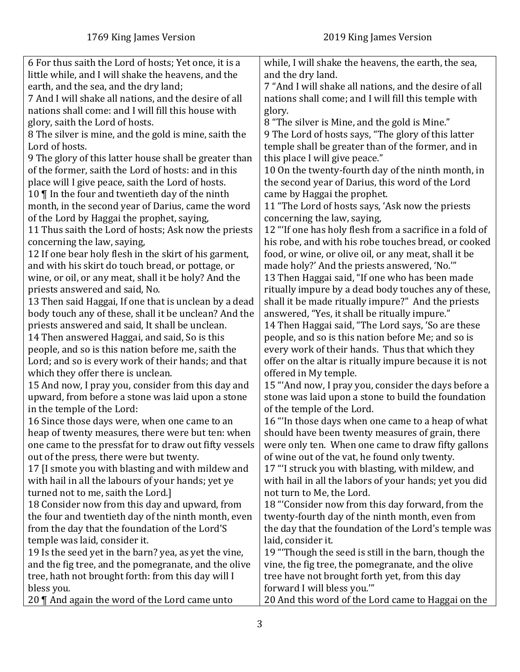| 6 For thus saith the Lord of hosts; Yet once, it is a  | while, I will shake the heavens, the earth, the sea,    |
|--------------------------------------------------------|---------------------------------------------------------|
| little while, and I will shake the heavens, and the    | and the dry land.                                       |
| earth, and the sea, and the dry land;                  | 7 "And I will shake all nations, and the desire of all  |
| 7 And I will shake all nations, and the desire of all  | nations shall come; and I will fill this temple with    |
| nations shall come: and I will fill this house with    | glory.                                                  |
| glory, saith the Lord of hosts.                        | 8 "The silver is Mine, and the gold is Mine."           |
| 8 The silver is mine, and the gold is mine, saith the  | 9 The Lord of hosts says, "The glory of this latter     |
| Lord of hosts.                                         | temple shall be greater than of the former, and in      |
| 9 The glory of this latter house shall be greater than | this place I will give peace."                          |
| of the former, saith the Lord of hosts: and in this    | 10 On the twenty-fourth day of the ninth month, in      |
| place will I give peace, saith the Lord of hosts.      | the second year of Darius, this word of the Lord        |
| 10 $\P$ In the four and twentieth day of the ninth     | came by Haggai the prophet.                             |
| month, in the second year of Darius, came the word     | 11 "The Lord of hosts says, 'Ask now the priests        |
| of the Lord by Haggai the prophet, saying,             | concerning the law, saying,                             |
| 11 Thus saith the Lord of hosts; Ask now the priests   | 12 "If one has holy flesh from a sacrifice in a fold of |
| concerning the law, saying,                            | his robe, and with his robe touches bread, or cooked    |
| 12 If one bear holy flesh in the skirt of his garment, | food, or wine, or olive oil, or any meat, shall it be   |
| and with his skirt do touch bread, or pottage, or      | made holy?' And the priests answered, 'No.""            |
| wine, or oil, or any meat, shall it be holy? And the   | 13 Then Haggai said, "If one who has been made          |
| priests answered and said, No.                         | ritually impure by a dead body touches any of these,    |
| 13 Then said Haggai, If one that is unclean by a dead  | shall it be made ritually impure?" And the priests      |
| body touch any of these, shall it be unclean? And the  | answered, "Yes, it shall be ritually impure."           |
| priests answered and said, It shall be unclean.        | 14 Then Haggai said, "The Lord says, 'So are these      |
| 14 Then answered Haggai, and said, So is this          | people, and so is this nation before Me; and so is      |
| people, and so is this nation before me, saith the     | every work of their hands. Thus that which they         |
| Lord; and so is every work of their hands; and that    | offer on the altar is ritually impure because it is not |
| which they offer there is unclean.                     | offered in My temple.                                   |
| 15 And now, I pray you, consider from this day and     | 15 "And now, I pray you, consider the days before a     |
| upward, from before a stone was laid upon a stone      | stone was laid upon a stone to build the foundation     |
| in the temple of the Lord:                             | of the temple of the Lord.                              |
| 16 Since those days were, when one came to an          | 16 "In those days when one came to a heap of what       |
| heap of twenty measures, there were but ten: when      | should have been twenty measures of grain, there        |
| one came to the pressfat for to draw out fifty vessels | were only ten. When one came to draw fifty gallons      |
| out of the press, there were but twenty.               | of wine out of the vat, he found only twenty.           |
| 17 I smote you with blasting and with mildew and       | 17 "I struck you with blasting, with mildew, and        |
| with hail in all the labours of your hands; yet ye     | with hail in all the labors of your hands; yet you did  |
| turned not to me, saith the Lord.]                     | not turn to Me, the Lord.                               |
| 18 Consider now from this day and upward, from         | 18 "Consider now from this day forward, from the        |
| the four and twentieth day of the ninth month, even    | twenty-fourth day of the ninth month, even from         |
| from the day that the foundation of the Lord'S         | the day that the foundation of the Lord's temple was    |
| temple was laid, consider it.                          | laid, consider it.                                      |
| 19 Is the seed yet in the barn? yea, as yet the vine,  | 19 "Though the seed is still in the barn, though the    |
| and the fig tree, and the pomegranate, and the olive   | vine, the fig tree, the pomegranate, and the olive      |
| tree, hath not brought forth: from this day will I     | tree have not brought forth yet, from this day          |
| bless you.                                             | forward I will bless you.""                             |
| 20 $\P$ And again the word of the Lord came unto       | 20 And this word of the Lord came to Haggai on the      |